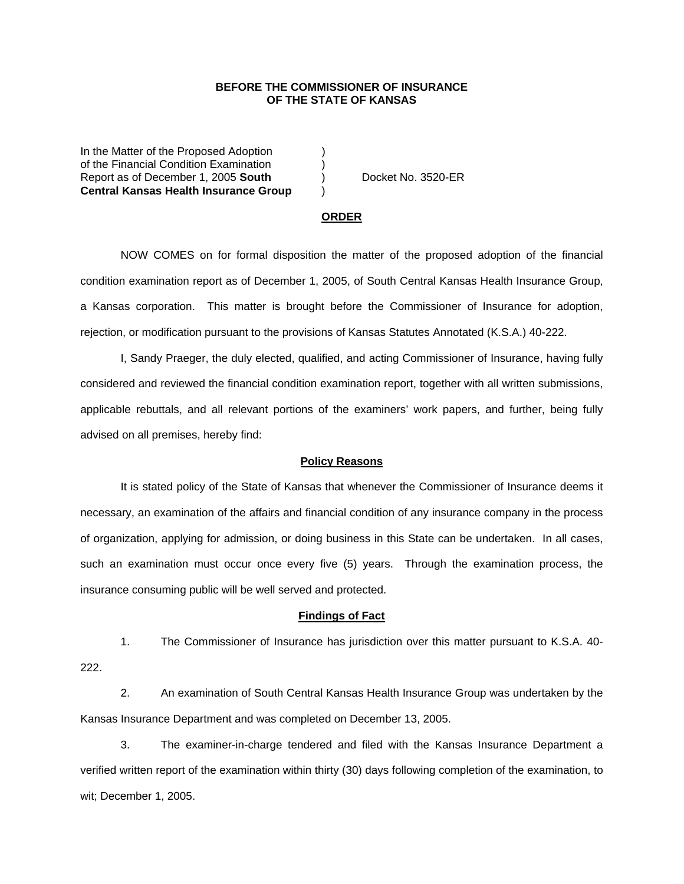## **BEFORE THE COMMISSIONER OF INSURANCE OF THE STATE OF KANSAS**

In the Matter of the Proposed Adoption of the Financial Condition Examination ) Report as of December 1, 2005 **South** ) Docket No. 3520-ER **Central Kansas Health Insurance Group** )

#### **ORDER**

 NOW COMES on for formal disposition the matter of the proposed adoption of the financial condition examination report as of December 1, 2005, of South Central Kansas Health Insurance Group, a Kansas corporation. This matter is brought before the Commissioner of Insurance for adoption, rejection, or modification pursuant to the provisions of Kansas Statutes Annotated (K.S.A.) 40-222.

 I, Sandy Praeger, the duly elected, qualified, and acting Commissioner of Insurance, having fully considered and reviewed the financial condition examination report, together with all written submissions, applicable rebuttals, and all relevant portions of the examiners' work papers, and further, being fully advised on all premises, hereby find:

### **Policy Reasons**

 It is stated policy of the State of Kansas that whenever the Commissioner of Insurance deems it necessary, an examination of the affairs and financial condition of any insurance company in the process of organization, applying for admission, or doing business in this State can be undertaken. In all cases, such an examination must occur once every five (5) years. Through the examination process, the insurance consuming public will be well served and protected.

#### **Findings of Fact**

 1. The Commissioner of Insurance has jurisdiction over this matter pursuant to K.S.A. 40- 222.

 2. An examination of South Central Kansas Health Insurance Group was undertaken by the Kansas Insurance Department and was completed on December 13, 2005.

 3. The examiner-in-charge tendered and filed with the Kansas Insurance Department a verified written report of the examination within thirty (30) days following completion of the examination, to wit; December 1, 2005.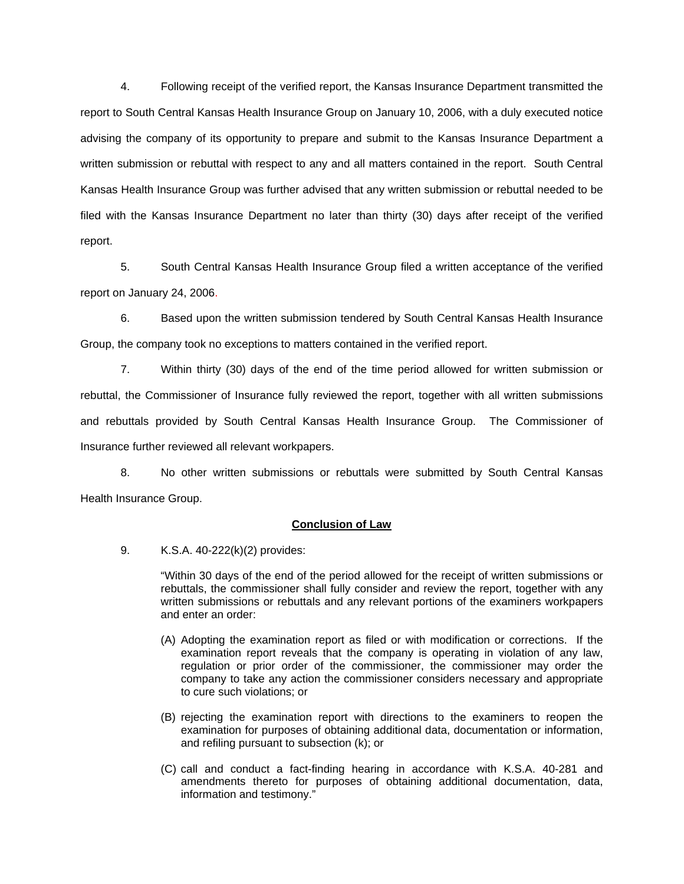4. Following receipt of the verified report, the Kansas Insurance Department transmitted the report to South Central Kansas Health Insurance Group on January 10, 2006, with a duly executed notice advising the company of its opportunity to prepare and submit to the Kansas Insurance Department a written submission or rebuttal with respect to any and all matters contained in the report. South Central Kansas Health Insurance Group was further advised that any written submission or rebuttal needed to be filed with the Kansas Insurance Department no later than thirty (30) days after receipt of the verified report.

 5. South Central Kansas Health Insurance Group filed a written acceptance of the verified report on January 24, 2006.

6. Based upon the written submission tendered by South Central Kansas Health Insurance Group, the company took no exceptions to matters contained in the verified report.

 7. Within thirty (30) days of the end of the time period allowed for written submission or rebuttal, the Commissioner of Insurance fully reviewed the report, together with all written submissions and rebuttals provided by South Central Kansas Health Insurance Group. The Commissioner of Insurance further reviewed all relevant workpapers.

 8. No other written submissions or rebuttals were submitted by South Central Kansas Health Insurance Group.

## **Conclusion of Law**

9. K.S.A. 40-222(k)(2) provides:

"Within 30 days of the end of the period allowed for the receipt of written submissions or rebuttals, the commissioner shall fully consider and review the report, together with any written submissions or rebuttals and any relevant portions of the examiners workpapers and enter an order:

- (A) Adopting the examination report as filed or with modification or corrections. If the examination report reveals that the company is operating in violation of any law, regulation or prior order of the commissioner, the commissioner may order the company to take any action the commissioner considers necessary and appropriate to cure such violations; or
- (B) rejecting the examination report with directions to the examiners to reopen the examination for purposes of obtaining additional data, documentation or information, and refiling pursuant to subsection (k); or
- (C) call and conduct a fact-finding hearing in accordance with K.S.A. 40-281 and amendments thereto for purposes of obtaining additional documentation, data, information and testimony."